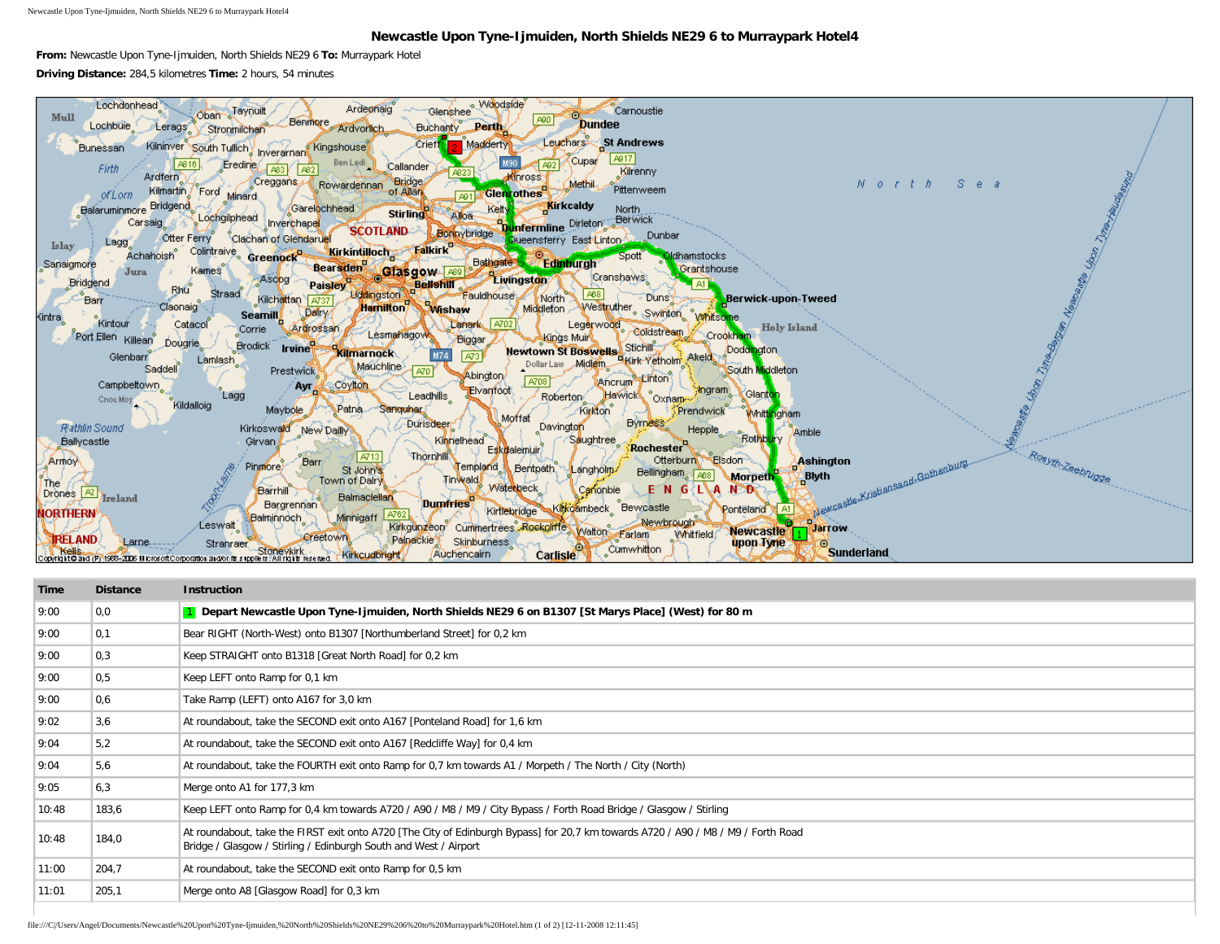Newcastle Upon Tyne-Ijmuiden, North Shields NE29 6 to Murraypark Hotel4

## **Newcastle Upon Tyne-Ijmuiden, North Shields NE29 6 to Murraypark Hotel4**

**From:** Newcastle Upon Tyne-Ijmuiden, North Shields NE29 6 **To:** Murraypark Hotel **Driving Distance:** 284,5 kilometres **Time:** 2 hours, 54 minutes



| Time  | <b>Distance</b>  | <b>Instruction</b>                                                                                                                                                                                    |
|-------|------------------|-------------------------------------------------------------------------------------------------------------------------------------------------------------------------------------------------------|
| 9:00  | 0,0              | 1 Depart Newcastle Upon Tyne-Ijmuiden, North Shields NE29 6 on B1307 [St Marys Place] (West) for 80 m                                                                                                 |
| 9:00  | 0,1              | Bear RIGHT (North-West) onto B1307 [Northumberland Street] for 0,2 km                                                                                                                                 |
| 9:00  | $ 0,3\rangle$    | Keep STRAIGHT onto B1318 [Great North Road] for 0,2 km                                                                                                                                                |
| 9:00  | $\overline{0.5}$ | Keep LEFT onto Ramp for 0,1 km                                                                                                                                                                        |
| 9:00  | 0,6              | Take Ramp (LEFT) onto A167 for 3,0 km                                                                                                                                                                 |
| 9:02  | 3,6              | At roundabout, take the SECOND exit onto A167 [Ponteland Road] for 1,6 km                                                                                                                             |
| 9:04  | 5.2              | At roundabout, take the SECOND exit onto A167 [Redcliffe Way] for 0,4 km                                                                                                                              |
| 9:04  | 5,6              | At roundabout, take the FOURTH exit onto Ramp for 0,7 km towards A1 / Morpeth / The North / City (North)                                                                                              |
| 9:05  | 6,3              | Merge onto A1 for 177,3 km                                                                                                                                                                            |
| 10:48 | 183,6            | Keep LEFT onto Ramp for 0,4 km towards A720 / A90 / M8 / M9 / City Bypass / Forth Road Bridge / Glasgow / Stirling                                                                                    |
| 10:48 | 184,0            | At roundabout, take the FIRST exit onto A720 [The City of Edinburgh Bypass] for 20,7 km towards A720 / A90 / M8 / M9 / Forth Road<br>Bridge / Glasgow / Stirling / Edinburgh South and West / Airport |
| 11:00 | 204,7            | At roundabout, take the SECOND exit onto Ramp for 0,5 km                                                                                                                                              |
| 11:01 | 205,1            | Merge onto A8 [Glasgow Road] for 0,3 km                                                                                                                                                               |